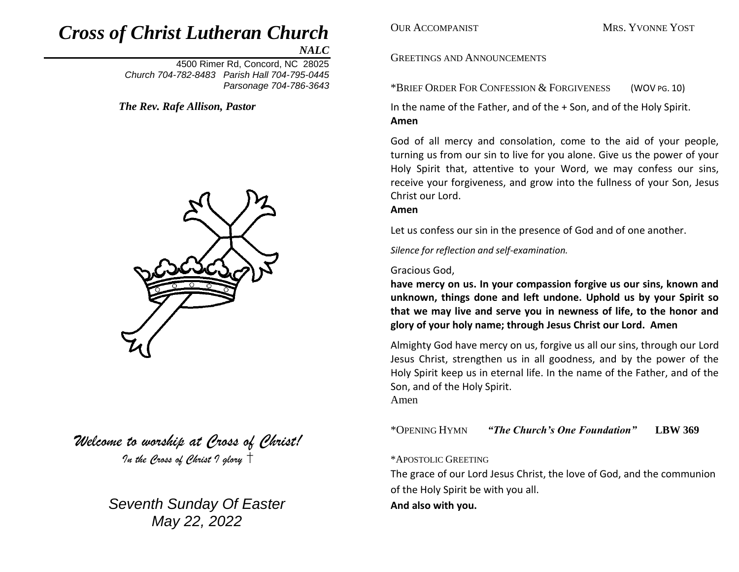# *Cross of Christ Lutheran Church*

*NALC*

4500 Rimer Rd, Concord, NC 28025 *Church 704-782-8483 Parish Hall 704-795-0445 Parsonage 704-786-3643* 

*The Rev. Rafe Allison, Pastor*



*Welcome to worship at Cross of Christ! In the Cross of Christ I glory*

> *Seventh Sunday Of Easter May 22, 2022*

**OUR ACCOMPANIST MRS. YVONNE YOST** 

# GREETINGS AND ANNOUNCEMENTS

\*BRIEF ORDER FOR CONFESSION & FORGIVENESS (WOV PG. 10)

In the name of the Father, and of the + Son, and of the Holy Spirit. **Amen**

God of all mercy and consolation, come to the aid of your people, turning us from our sin to live for you alone. Give us the power of your Holy Spirit that, attentive to your Word, we may confess our sins, receive your forgiveness, and grow into the fullness of your Son, Jesus Christ our Lord.

#### **Amen**

Let us confess our sin in the presence of God and of one another.

*Silence for reflection and self-examination.*

### Gracious God,

**have mercy on us. In your compassion forgive us our sins, known and unknown, things done and left undone. Uphold us by your Spirit so that we may live and serve you in newness of life, to the honor and glory of your holy name; through Jesus Christ our Lord. Amen**

Almighty God have mercy on us, forgive us all our sins, through our Lord Jesus Christ, strengthen us in all goodness, and by the power of the Holy Spirit keep us in eternal life. In the name of the Father, and of the Son, and of the Holy Spirit.

Amen

\*OPENING HYMN *"The Church's One Foundation"* **LBW 369**

# \*APOSTOLIC GREETING

The grace of our Lord Jesus Christ, the love of God, and the communion of the Holy Spirit be with you all.

# **And also with you.**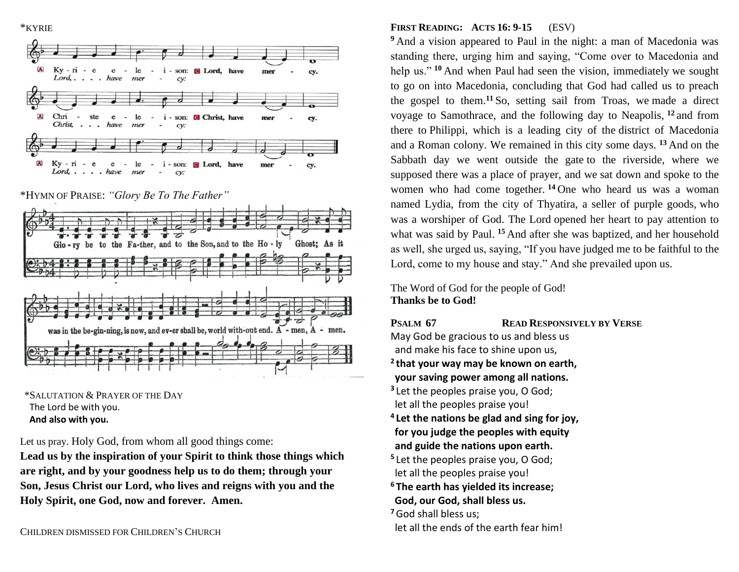\*KYRIE



\*HYMN OF PRAISE: *"Glory Be To The Father"*



 \*SALUTATION & PRAYER OF THE DAY The Lord be with you.  **And also with you.**

Let us pray. Holy God, from whom all good things come:

**Lead us by the inspiration of your Spirit to think those things which are right, and by your goodness help us to do them; through your Son, Jesus Christ our Lord, who lives and reigns with you and the Holy Spirit, one God, now and forever. Amen.**

# **FIRST READING: ACTS 16: 9-15** (ESV)

**<sup>9</sup>** And a vision appeared to Paul in the night: a man of Macedonia was standing there, urging him and saying, "Come over to Macedonia and help us."<sup>10</sup> And when Paul had seen the vision, immediately we sought to go on into Macedonia, concluding that God had called us to preach the gospel to them.**<sup>11</sup>** So, setting sail from Troas, we made a direct voyage to Samothrace, and the following day to Neapolis, **<sup>12</sup>** and from there to Philippi, which is a leading city of the district of Macedonia and a Roman colony. We remained in this city some days. **<sup>13</sup>** And on the Sabbath day we went outside the gate to the riverside, where we supposed there was a place of prayer, and we sat down and spoke to the women who had come together. **<sup>14</sup>** One who heard us was a woman named Lydia, from the city of Thyatira, a seller of purple goods, who was a worshiper of God. The Lord opened her heart to pay attention to what was said by Paul. **<sup>15</sup>** And after she was baptized, and her household as well, she urged us, saying, "If you have judged me to be faithful to the Lord, come to my house and stay." And she prevailed upon us.

The Word of God for the people of God! **Thanks be to God!**

**PSALM 67 READ RESPONSIVELY BY VERSE** 

- May God be gracious to us and bless us and make his face to shine upon us,
- **2 that your way may be known on earth, your saving power among all nations.**
- **3** Let the peoples praise you, O God; let all the peoples praise you!
- **4 Let the nations be glad and sing for joy, for you judge the peoples with equity and guide the nations upon earth.**
- **5** Let the peoples praise you, O God; let all the peoples praise you!
- **<sup>6</sup> The earth has yielded its increase; God, our God, shall bless us.**
- **<sup>7</sup>**God shall bless us;
- let all the ends of the earth fear him!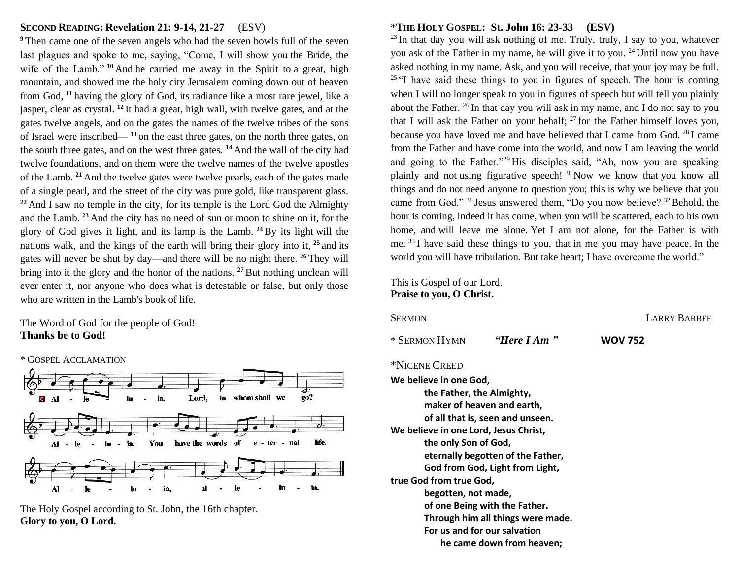#### **SECOND READING: Revelation 21: 9-14, 21-27** (ESV)

**<sup>9</sup>** Then came one of the seven angels who had the seven bowls full of the seven last plagues and spoke to me, saying, "Come, I will show you the Bride, the wife of the Lamb."<sup>10</sup> And he carried me away in the Spirit to a great, high mountain, and showed me the holy city Jerusalem coming down out of heaven from God, **<sup>11</sup>** having the glory of God, its radiance like a most rare jewel, like a jasper, clear as crystal. **<sup>12</sup>** It had a great, high wall, with twelve gates, and at the gates twelve angels, and on the gates the names of the twelve tribes of the sons of Israel were inscribed— **<sup>13</sup>** on the east three gates, on the north three gates, on the south three gates, and on the west three gates. **<sup>14</sup>** And the wall of the city had twelve foundations, and on them were the twelve names of the twelve apostles of the Lamb. **<sup>21</sup>** And the twelve gates were twelve pearls, each of the gates made of a single pearl, and the street of the city was pure gold, like transparent glass. <sup>22</sup> And I saw no temple in the city, for its temple is the Lord God the Almighty and the Lamb. **<sup>23</sup>** And the city has no need of sun or moon to shine on it, for the glory of God gives it light, and its lamp is the Lamb. **<sup>24</sup>**By its light will the nations walk, and the kings of the earth will bring their glory into it, **<sup>25</sup>** and its gates will never be shut by day—and there will be no night there. **<sup>26</sup>** They will bring into it the glory and the honor of the nations. **<sup>27</sup>**But nothing unclean will ever enter it, nor anyone who does what is detestable or false, but only those who are written in the Lamb's book of life.

The Word of God for the people of God! **Thanks be to God!**



The Holy Gospel according to St. John, the 16th chapter. **Glory to you, O Lord.** 

# \***THE HOLY GOSPEL: St. John 16: 23-33 (ESV)**

 $23$  In that day you will ask nothing of me. Truly, truly, I say to you, whatever you ask of the Father in my name, he will give it to you. <sup>24</sup> Until now you have asked nothing in my name. Ask, and you will receive, that your joy may be full.  $25$  "I have said these things to you in figures of speech. The hour is coming when I will no longer speak to you in figures of speech but will tell you plainly about the Father. <sup>26</sup> In that day you will ask in my name, and I do not say to you that I will ask the Father on your behalf;  $27$  for the Father himself loves you, because you have loved me and have believed that I came from God. <sup>28</sup> I came from the Father and have come into the world, and now I am leaving the world and going to the Father."<sup>29</sup> His disciples said, "Ah, now you are speaking plainly and not using figurative speech! <sup>30</sup> Now we know that you know all things and do not need anyone to question you; this is why we believe that you came from God." <sup>31</sup> Jesus answered them, "Do you now believe? <sup>32</sup> Behold, the hour is coming, indeed it has come, when you will be scattered, each to his own home, and will leave me alone. Yet I am not alone, for the Father is with me. <sup>33</sup> I have said these things to you, that in me you may have peace. In the world you will have tribulation. But take heart; I have overcome the world."

This is Gospel of our Lord. **Praise to you, O Christ.**

| <b>SERMON</b>                                                                              |                                                                                                     | <b>LARRY BARBEE</b> |
|--------------------------------------------------------------------------------------------|-----------------------------------------------------------------------------------------------------|---------------------|
| * SERMON HYMN                                                                              | "Here I Am"                                                                                         | <b>WOV 752</b>      |
| *NICENE CREED                                                                              |                                                                                                     |                     |
| We believe in one God,                                                                     |                                                                                                     |                     |
| the Father, the Almighty,<br>We believe in one Lord, Jesus Christ,<br>the only Son of God, | maker of heaven and earth,<br>of all that is, seen and unseen.<br>eternally begotten of the Father, |                     |
| true God from true God,                                                                    | God from God, Light from Light,                                                                     |                     |
| begotten, not made,                                                                        | of one Being with the Father.                                                                       |                     |
|                                                                                            | Through him all things were made.<br>For us and for our salvation                                   |                     |
|                                                                                            | he came down from heaven;                                                                           |                     |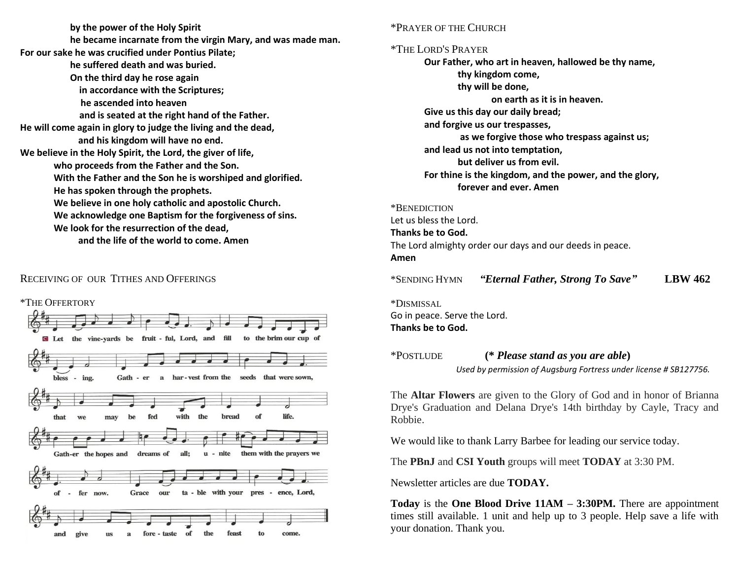**by the power of the Holy Spirit he became incarnate from the virgin Mary, and was made man. For our sake he was crucified under Pontius Pilate; he suffered death and was buried. On the third day he rose again in accordance with the Scriptures; he ascended into heaven and is seated at the right hand of the Father. He will come again in glory to judge the living and the dead, and his kingdom will have no end. We believe in the Holy Spirit, the Lord, the giver of life, who proceeds from the Father and the Son. With the Father and the Son he is worshiped and glorified. He has spoken through the prophets. We believe in one holy catholic and apostolic Church. We acknowledge one Baptism for the forgiveness of sins. We look for the resurrection of the dead, and the life of the world to come. Amen**

# RECEIVING OF OUR TITHES AND OFFERINGS



#### \*PRAYER OF THE CHURCH

#### \*THE LORD'S PRAYER

**Our Father, who art in heaven, hallowed be thy name, thy kingdom come, thy will be done, on earth as it is in heaven. Give us this day our daily bread; and forgive us our trespasses, as we forgive those who trespass against us; and lead us not into temptation, but deliver us from evil. For thine is the kingdom, and the power, and the glory, forever and ever. Amen**

# \*BENEDICTION

Let us bless the Lord. **Thanks be to God.** The Lord almighty order our days and our deeds in peace. **Amen**

\*SENDING HYMN *"Eternal Father, Strong To Save"* **LBW 462**

\*DISMISSAL Go in peace. Serve the Lord. **Thanks be to God.**

\*POSTLUDE **(\*** *Please stand as you are able***)** 

 *Used by permission of Augsburg Fortress under license # SB127756.*

The **Altar Flowers** are given to the Glory of God and in honor of Brianna Drye's Graduation and Delana Drye's 14th birthday by Cayle, Tracy and Robbie.

We would like to thank Larry Barbee for leading our service today.

The **PBnJ** and **CSI Youth** groups will meet **TODAY** at 3:30 PM.

Newsletter articles are due **TODAY.**

**Today** is the **One Blood Drive 11AM – 3:30PM.** There are appointment times still available. 1 unit and help up to 3 people. Help save a life with your donation. Thank you.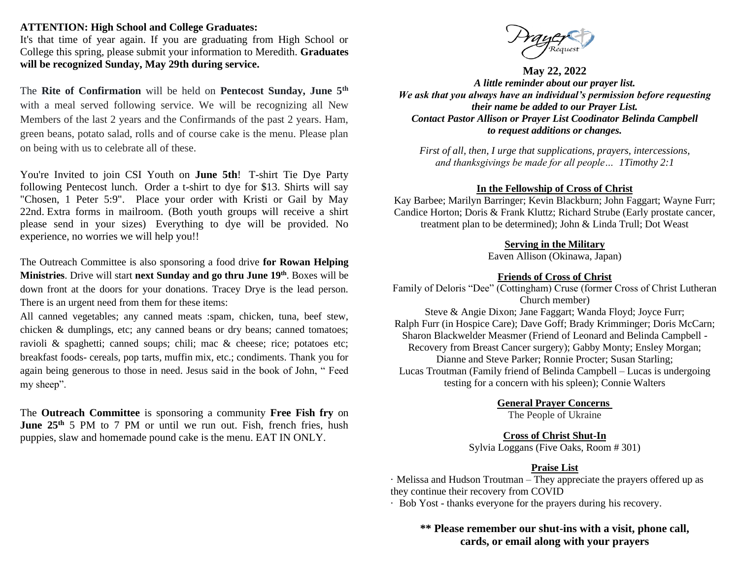#### **ATTENTION: High School and College Graduates:**

It's that time of year again. If you are graduating from High School or College this spring, please submit your information to Meredith. **Graduates will be recognized Sunday, May 29th during service.**

The **Rite of Confirmation** will be held on **Pentecost Sunday, June 5th** with a meal served following service. We will be recognizing all New Members of the last 2 years and the Confirmands of the past 2 years. Ham, green beans, potato salad, rolls and of course cake is the menu. Please plan on being with us to celebrate all of these.

You're Invited to join CSI Youth on **June 5th**! T-shirt Tie Dye Party following Pentecost lunch. Order a t-shirt to dye for \$13. Shirts will say "Chosen, 1 Peter 5:9". Place your order with Kristi or Gail by May 22nd. Extra forms in mailroom. (Both youth groups will receive a shirt please send in your sizes) Everything to dye will be provided. No experience, no worries we will help you!!

The Outreach Committee is also sponsoring a food drive **for Rowan Helping Ministries**. Drive will start **next Sunday and go thru June 19th**. Boxes will be down front at the doors for your donations. Tracey Drye is the lead person. There is an urgent need from them for these items:

All canned vegetables; any canned meats :spam, chicken, tuna, beef stew, chicken & dumplings, etc; any canned beans or dry beans; canned tomatoes; ravioli & spaghetti; canned soups; chili; mac & cheese; rice; potatoes etc; breakfast foods- cereals, pop tarts, muffin mix, etc.; condiments. Thank you for again being generous to those in need. Jesus said in the book of John, " Feed my sheep".

The **Outreach Committee** is sponsoring a community **Free Fish fry** on **June 25<sup>th</sup>** 5 PM to 7 PM or until we run out. Fish, french fries, hush puppies, slaw and homemade pound cake is the menu. EAT IN ONLY.



**May 22, 2022**

*A little reminder about our prayer list. We ask that you always have an individual's permission before requesting their name be added to our Prayer List. Contact Pastor Allison or Prayer List Coodinator Belinda Campbell to request additions or changes.*

*First of all, then, I urge that supplications, prayers, intercessions, and thanksgivings be made for all people… 1Timothy 2:1*

# **In the Fellowship of Cross of Christ**

Kay Barbee; Marilyn Barringer; Kevin Blackburn; John Faggart; Wayne Furr; Candice Horton; Doris & Frank Kluttz; Richard Strube (Early prostate cancer, treatment plan to be determined); John & Linda Trull; Dot Weast

#### **Serving in the Military**

Eaven Allison (Okinawa, Japan)

# **Friends of Cross of Christ**

Family of Deloris "Dee" (Cottingham) Cruse (former Cross of Christ Lutheran Church member) Steve & Angie Dixon; Jane Faggart; Wanda Floyd; Joyce Furr;

Ralph Furr (in Hospice Care); Dave Goff; Brady Krimminger; Doris McCarn; Sharon Blackwelder Measmer (Friend of Leonard and Belinda Campbell - Recovery from Breast Cancer surgery); Gabby Monty; Ensley Morgan; Dianne and Steve Parker; Ronnie Procter; Susan Starling; Lucas Troutman (Family friend of Belinda Campbell – Lucas is undergoing testing for a concern with his spleen); Connie Walters

**General Prayer Concerns**

The People of Ukraine

#### **Cross of Christ Shut-In**

Sylvia Loggans (Five Oaks, Room # 301)

# **Praise List**

· Melissa and Hudson Troutman – They appreciate the prayers offered up as they continue their recovery from COVID

· Bob Yost - thanks everyone for the prayers during his recovery.

**\*\* Please remember our shut-ins with a visit, phone call, cards, or email along with your prayers**